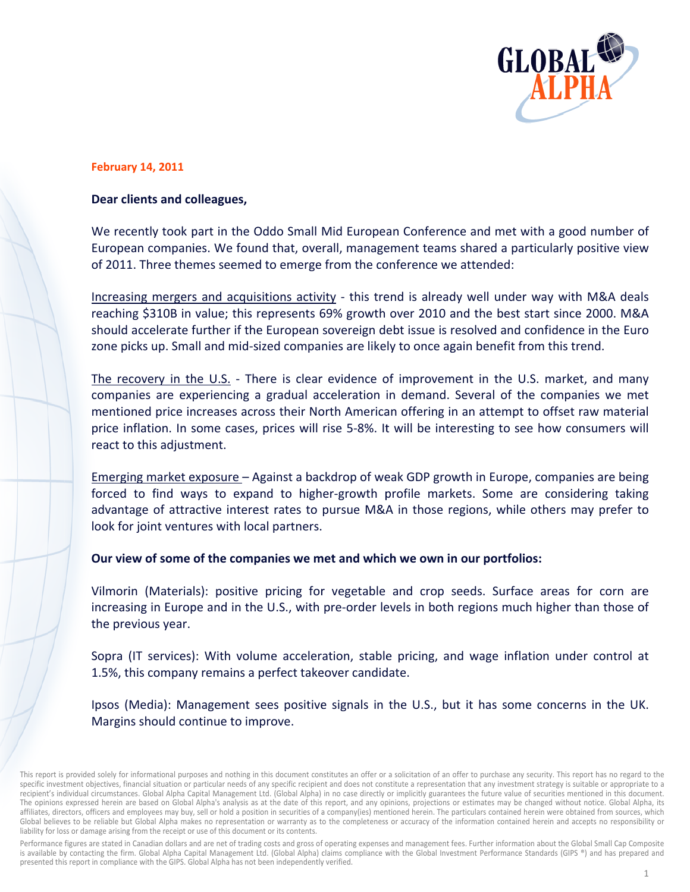

## **February 14, 2011**

## Dear clients and colleagues,

We recently took part in the Oddo Small Mid European Conference and met with a good number of European companies. We found that, overall, management teams shared a particularly positive view of 2011. Three themes seemed to emerge from the conference we attended:

Increasing mergers and acquisitions activity - this trend is already well under way with M&A deals reaching \$310B in value; this represents 69% growth over 2010 and the best start since 2000. M&A should accelerate further if the European sovereign debt issue is resolved and confidence in the Euro zone picks up. Small and mid-sized companies are likely to once again benefit from this trend.

The recovery in the U.S. - There is clear evidence of improvement in the U.S. market, and many companies are experiencing a gradual acceleration in demand. Several of the companies we met mentioned price increases across their North American offering in an attempt to offset raw material price inflation. In some cases, prices will rise 5-8%. It will be interesting to see how consumers will react to this adjustment.

Emerging market exposure - Against a backdrop of weak GDP growth in Europe, companies are being forced to find ways to expand to higher-growth profile markets. Some are considering taking advantage of attractive interest rates to pursue M&A in those regions, while others may prefer to look for joint ventures with local partners.

Our view of some of the companies we met and which we own in our portfolios:

Vilmorin (Materials): positive pricing for vegetable and crop seeds. Surface areas for corn are increasing in Europe and in the U.S., with pre-order levels in both regions much higher than those of the previous year.

Sopra (IT services): With volume acceleration, stable pricing, and wage inflation under control at 1.5%, this company remains a perfect takeover candidate.

Ipsos (Media): Management sees positive signals in the U.S., but it has some concerns in the UK. Margins should continue to improve.

Performance figures are stated in Canadian dollars and are net of trading costs and gross of operating expenses and management fees. Further information about the Global Small Cap Composite is available by contacting the firm. Global Alpha Capital Management Ltd. (Global Alpha) claims compliance with the Global Investment Performance Standards (GIPS ®) and has prepared and presented this report in compliance with the GIPS. Global Alpha has not been independently verified.

This report is provided solely for informational purposes and nothing in this document constitutes an offer or a solicitation of an offer to purchase any security. This report has no regard to the specific investment objectives, financial situation or particular needs of any specific recipient and does not constitute a representation that any investment strategy is suitable or appropriate to a recipient's individual circumstances. Global Alpha Capital Management Ltd. (Global Alpha) in no case directly or implicitly guarantees the future value of securities mentioned in this document. The opinions expressed herein are based on Global Alpha's analysis as at the date of this report, and any opinions, projections or estimates may be changed without notice. Global Alpha, its affiliates, directors, officers and employees may buy, sell or hold a position in securities of a company(ies) mentioned herein. The particulars contained herein were obtained from sources, which Global believes to be reliable but Global Alpha makes no representation or warranty as to the completeness or accuracy of the information contained herein and accepts no responsibility or liability for loss or damage arising from the receipt or use of this document or its contents.